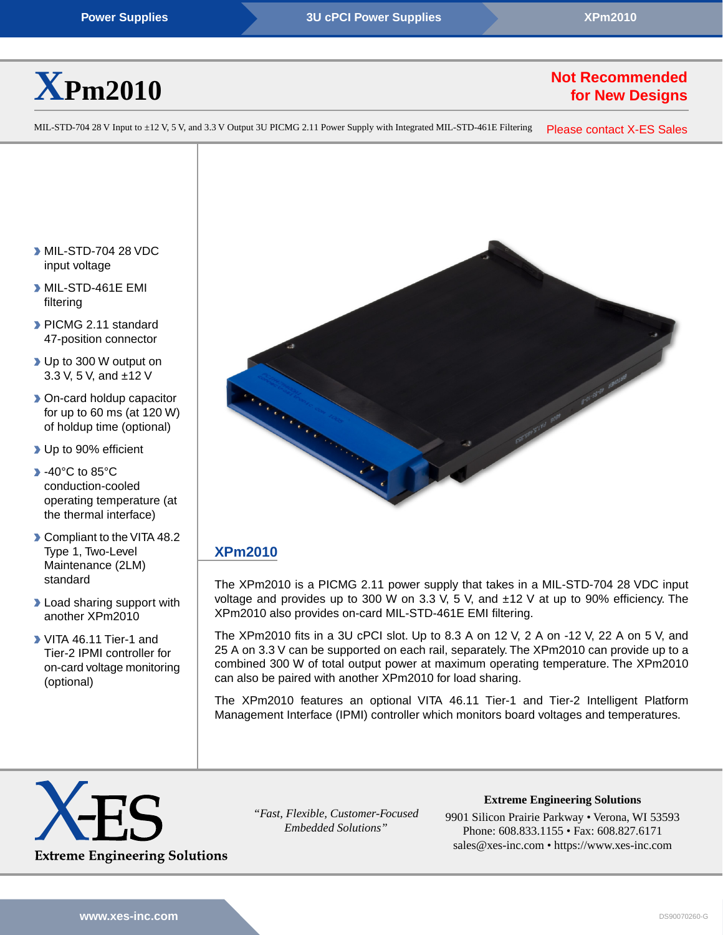

# **Not Recommended for New Designs**

MIL-STD-704 28 V Input to ±12 V, 5 V, and 3.3 V Output 3U PICMG 2.11 Power Supply with Integrated MIL-STD-461E Filtering [Please contact X-ES Sales](https://www.xes-inc.com/about/contact/?utm_source=dynamic&utm_medium=referral&utm_term=XPm2010&utm_content=NRND&utm_campaign=Datasheet)

- MIL-STD-704 28 VDC input voltage
- MIL-STD-461E EMI filtering
- PICMG 2.11 standard 47-position connector
- ▶ Up to 300 W output on 3.3 V, 5 V, and ±12 V
- **Don-card holdup capacitor** for up to 60 ms (at 120 W) of holdup time (optional)
- Up to 90% efficient
- **1**-40°C to 85°C conduction-cooled operating temperature (at the thermal interface)
- Compliant to the VITA 48.2 Type 1, Two-Level Maintenance (2LM) standard
- **D** Load sharing support with another XPm2010
- VITA 46.11 Tier-1 and Tier-2 IPMI controller for on-card voltage monitoring (optional)



# **[XPm2010](https://www.xes-inc.com/products/power-supplies/xpm2010/?utm_source=dynamic&utm_medium=referral&utm_term=XPm2010&utm_content=Description%20Title&utm_campaign=Datasheet)**

The XPm2010 is a PICMG 2.11 power supply that takes in a MIL-STD-704 28 VDC input voltage and provides up to 300 W on 3.3 V, 5 V, and  $\pm$ 12 V at up to 90% efficiency. The XPm2010 also provides on-card MIL-STD-461E EMI filtering.

The XPm2010 fits in a 3U cPCI slot. Up to 8.3 A on 12 V, 2 A on -12 V, 22 A on 5 V, and 25 A on 3.3 V can be supported on each rail, separately. The XPm2010 can provide up to a combined 300 W of total output power at maximum operating temperature. The XPm2010 can also be paired with another XPm2010 for load sharing.

The XPm2010 features an optional VITA 46.11 Tier-1 and Tier-2 Intelligent Platform Management Interface (IPMI) controller which monitors board voltages and temperatures.



*"Fast, Flexible, Customer-Focused Embedded Solutions"*

**Extreme Engineering Solutions** 9901 Silicon Prairie Parkway • Verona, WI 53593

Phone: 608.833.1155 • Fax: 608.827.6171 sales@xes-inc.com • <https://www.xes-inc.com>